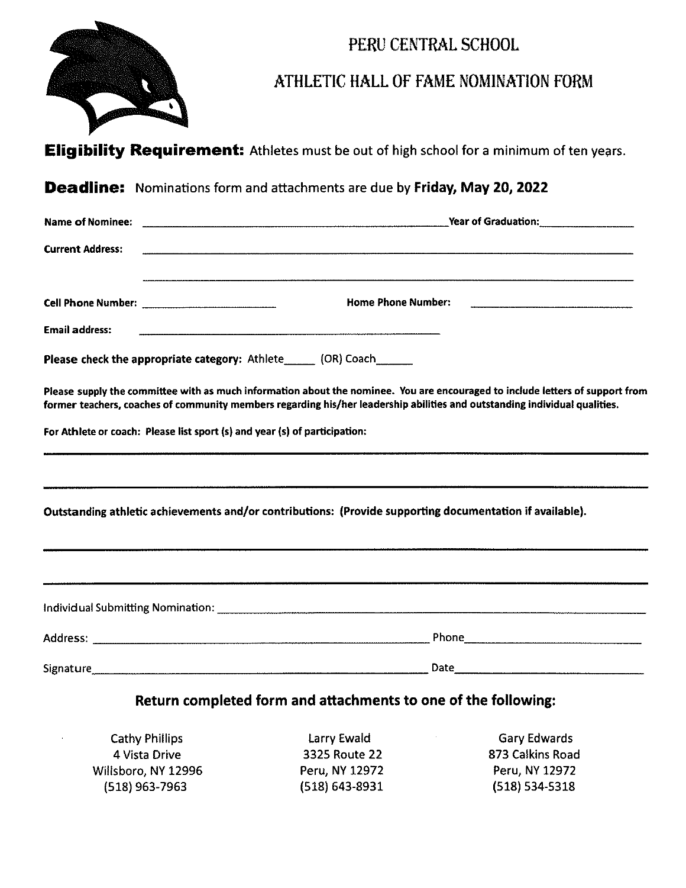

## PERU CENTRAL SCHOOL

## ATHLETIC HALL OF FAME NOMINATION FORM

|                                                                            | PERU CENTRAL SCHOOL                                                                                                                                                                                                                                         |
|----------------------------------------------------------------------------|-------------------------------------------------------------------------------------------------------------------------------------------------------------------------------------------------------------------------------------------------------------|
|                                                                            | ATHLETIC HALL OF FAME NOMINATION FORM                                                                                                                                                                                                                       |
|                                                                            | <b>Eligibility Requirement:</b> Athletes must be out of high school for a minimum of ten years.                                                                                                                                                             |
|                                                                            | <b>Deadline:</b> Nominations form and attachments are due by Friday, May 20, 2022                                                                                                                                                                           |
| Name of Nominee:                                                           | <b>Year of Graduation:</b> Nearly Mean Controllery Mean Controllery Mean Controllery Mean Controllery Mean Controllery                                                                                                                                      |
| <b>Current Address:</b>                                                    |                                                                                                                                                                                                                                                             |
|                                                                            | <b>Home Phone Number:</b>                                                                                                                                                                                                                                   |
| <b>Email address:</b>                                                      |                                                                                                                                                                                                                                                             |
|                                                                            | Please check the appropriate category: Athlete (OR) Coach                                                                                                                                                                                                   |
|                                                                            | Please supply the committee with as much information about the nominee. You are encouraged to include letters of support from<br>former teachers, coaches of community members regarding his/her leadership abilities and outstanding individual qualities. |
| For Athlete or coach: Please list sport (s) and year (s) of participation: | <u> 1980 - Januar Sammen, Amerikaansk politiker (* 1980)</u>                                                                                                                                                                                                |
|                                                                            |                                                                                                                                                                                                                                                             |
|                                                                            | Outstanding athletic achievements and/or contributions: (Provide supporting documentation if available).                                                                                                                                                    |
|                                                                            |                                                                                                                                                                                                                                                             |
|                                                                            |                                                                                                                                                                                                                                                             |
|                                                                            |                                                                                                                                                                                                                                                             |
|                                                                            |                                                                                                                                                                                                                                                             |

## Return completed form and attachments to one of the following:

 $\frac{4}{(51)}$ Cathy Phillips **Cathy Phillips Cathy Phillips Carry Ewald Gary Edwards** 4 Vista Drive 3325 Route 22 873 Calkins Road Willsboro, NY 12996 **Peru, NY 12972** Peru, NY 12972 (518) 963-7963 (518) 643-8931 (518) 534-5318